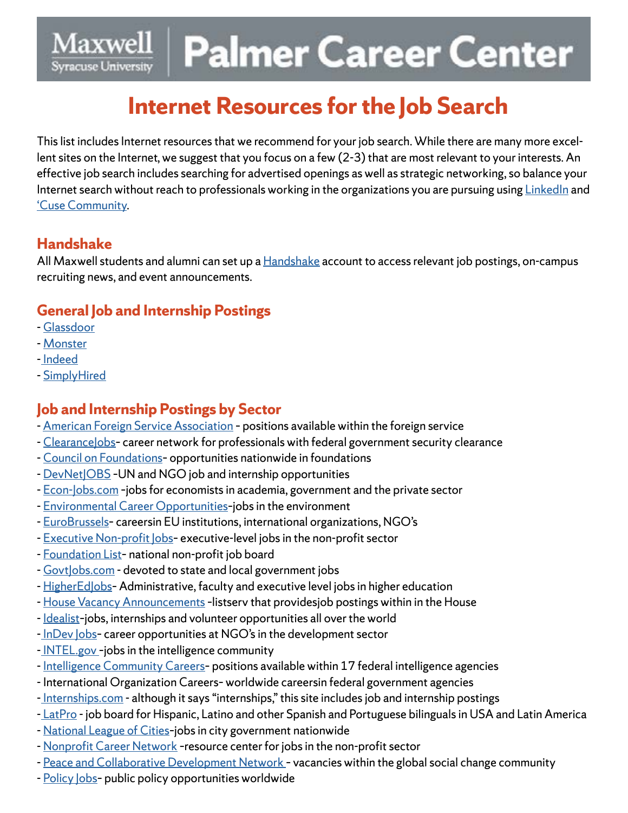#### Maxwell **Palmer Career Center Syracuse University**

# **Internet Resources for the Job Search**

This list includes Internet resources that we recommend for your job search. While there are many more excellent sites on the Internet, we suggest that you focus on a few (2-3) that are most relevant to your interests. An effective job search includes searching for advertised openings as well as strategic networking, so balance your Internet search without reach to professionals working in the organizations you are pursuing using [LinkedIn](https://www.linkedin.com/feed/) and ['Cuse Community.](https://cusecommunity.syr.edu/s/1632/17/home.aspx?gid=2&pgid=61)

#### **Handshake**

All Maxwell students and alumni can set up a [Handshake](https://syr.joinhandshake.com/login) account to access relevant job postings, on-campus recruiting news, and event announcements.

### **General Job and Internship Postings**

- - [Glassdoor](https://www.glassdoor.com/index.htm)
- - [Monster](https://www.indeed.com/)
- - [Indeed](https://www.indeed.com/)
- - [SimplyHired](https://www.simplyhired.com/)

#### **Job and Internship Postings by Sector**

- - [American Foreign Service Association](http://afsa.org/jobs-afsa) positions available within the foreign service
- Clearancelobs- career network for professionals with federal government security clearance
- - [Council on Foundations–](https://jobs.cof.org/jobs/) opportunities nationwide in foundations
- DevNet|OBS UN and NGO job and internship opportunities
- - [Econ-Jobs.com](https://www.econ-jobs.com/) –jobs for economists in academia, government and the private sector
- - [Environmental Career Opportunities](http://www.ecojobs.com/)–jobs in the environment
- - [EuroBrussels](https://www.eurobrussels.com/) careersin EU institutions, international organizations, NGO's
- [Executive Non-profit Jobs](https://execsearches.com/) executive-level jobs in the non-profit sector
- - [Foundation List](https://www.usajobs.gov/) national non-profit job board
- Govtlobs.com devoted to state and local government jobs
- - [HigherEdJobs](https://www.higheredjobs.com/)-Administrative, faculty and executive level jobs in higher education
- - [House Vacancy Announcements](https://www.house.gov/employment) –listserv that providesjob postings within in the House
- Idealist-jobs, internships and volunteer opportunities all over the world
- - [InDev Jobs–](https://indevjobs.org/career/) career opportunities at NGO's in the development sector
- - [INTEL.gov –](https://www.intel.gov/careers)jobs in the intelligence community
- - [Intelligence Community Careers–](https://apply.intelligencecareers.gov/home) positions available within 17 federal intelligence agencies
- International Organization Careers– worldwide careersin federal government agencies
- - [Internships.com](https://www.internships.com/) although it says "internships," this site includes job and internship postings
- - [LatPro](https://www.latpro.com/c/) job board for Hispanic, Latino and other Spanish and Portuguese bilinguals in USA and Latin America
- - [National League of Cities](https://jobsonline.nlc.org/jobs/)–jobs in city government nationwide
- [Nonprofit Career Network](http://www.nonprofitcareer.com/)  resource center for jobs in the non-profit sector
- - [Peace and Collaborative Development Network](https://pcdnetwork.org/)  vacancies within the global social change community
- Policy Jobs- public policy opportunities worldwide